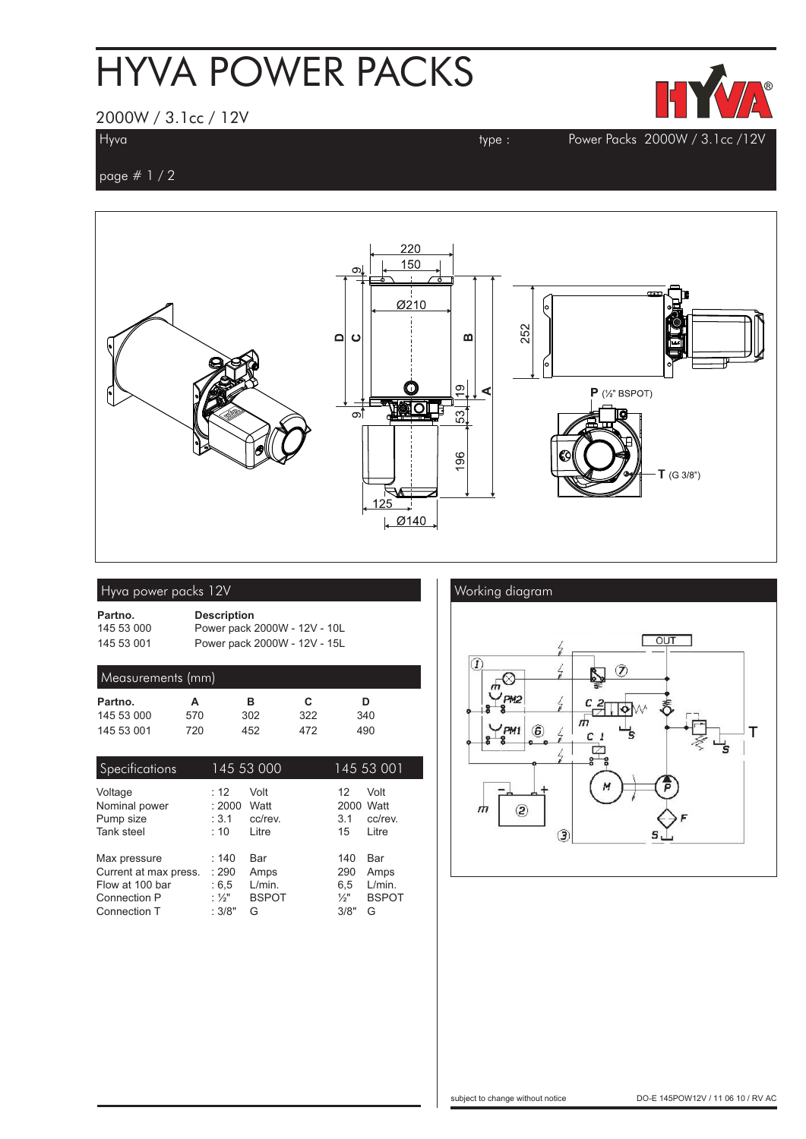# HYVA POWER PACKS



### 2000W / 3.1cc / 12V

**Hyva type : Power Packs 2000W / 3.1cc /12V**

**page # 1 / 2**



|  | Hyva power packs 12V |  |
|--|----------------------|--|
|  |                      |  |

| Partno.    | <b>Description</b>           |
|------------|------------------------------|
| 145 53 000 | Power pack 2000W - 12V - 10L |
| 145 53 001 | Power pack 2000W - 12V - 15L |

### **Measurements (mm)**

| Partno.    |     | R   | С   | D   |  |
|------------|-----|-----|-----|-----|--|
| 145 53 000 | 570 | 302 | 322 | 340 |  |
| 145 53 001 | 720 | 452 | 472 | 490 |  |

| Specifications        |        | 145 53 000   |                 | 145 53 001   |
|-----------------------|--------|--------------|-----------------|--------------|
| Voltage               | : 12   | Volt         | 12              | Volt         |
| Nominal power         | : 2000 | Watt         | 2000            | Watt         |
| Pump size             | : 3.1  | cc/rev.      | 3.1             | cc/rev.      |
| Tank steel            | : 10   | Litre        | 15              | Litre        |
| Max pressure          | :140   | Bar          | 140             | Bar          |
| Current at max press. | : 290  | Amps         | 290             | Amps         |
| Flow at 100 bar       | : 6, 5 | L/min.       | 6,5             | L/min.       |
| Connection P          | : ½"   | <b>BSPOT</b> | $\frac{1}{2}$ " | <b>BSPOT</b> |
| Connection T          | :3/8"  | G            | 3/8"            | G            |